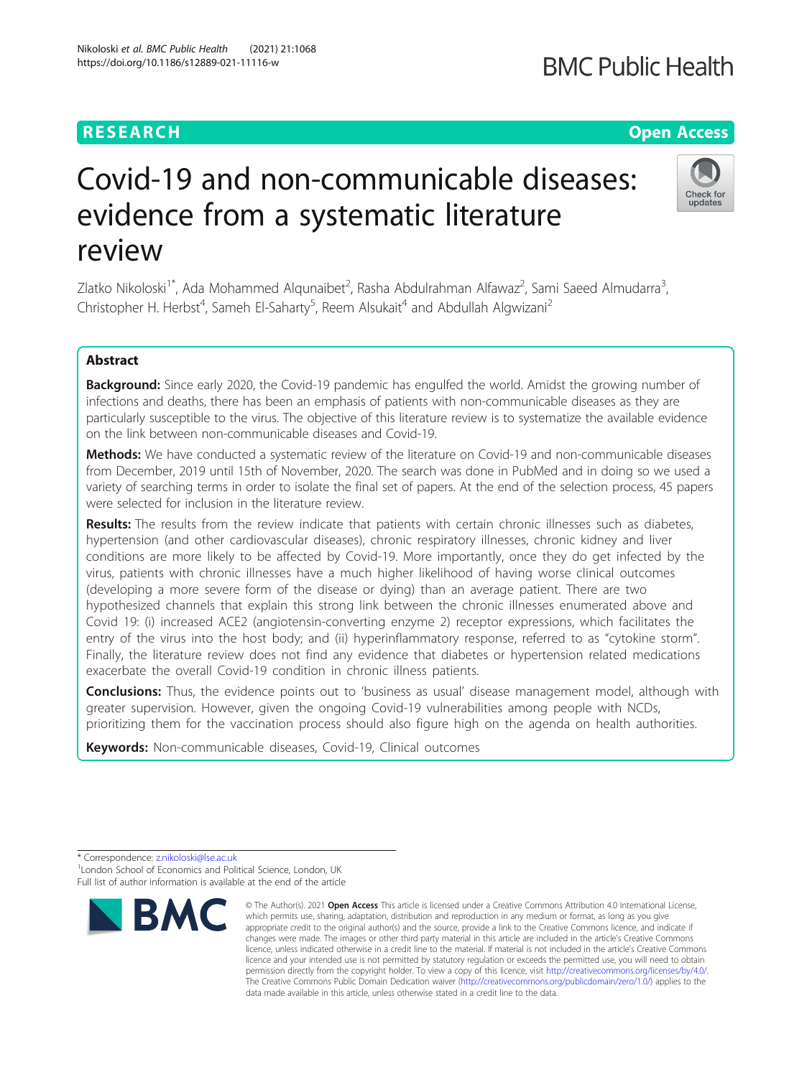# Covid-19 and non-communicable diseases: evidence from a systematic literature review

Zlatko Nikoloski<sup>1\*</sup>, Ada Mohammed Alqunaibet<sup>2</sup>, Rasha Abdulrahman Alfawaz<sup>2</sup>, Sami Saeed Almudarra<sup>3</sup> , Christopher H. Herbst<sup>4</sup>, Sameh El-Saharty<sup>5</sup>, Reem Alsukait<sup>4</sup> and Abdullah Algwizani<sup>2</sup>

# Abstract

Background: Since early 2020, the Covid-19 pandemic has engulfed the world. Amidst the growing number of infections and deaths, there has been an emphasis of patients with non-communicable diseases as they are particularly susceptible to the virus. The objective of this literature review is to systematize the available evidence on the link between non-communicable diseases and Covid-19.

**Methods:** We have conducted a systematic review of the literature on Covid-19 and non-communicable diseases from December, 2019 until 15th of November, 2020. The search was done in PubMed and in doing so we used a variety of searching terms in order to isolate the final set of papers. At the end of the selection process, 45 papers were selected for inclusion in the literature review.

Results: The results from the review indicate that patients with certain chronic illnesses such as diabetes, hypertension (and other cardiovascular diseases), chronic respiratory illnesses, chronic kidney and liver conditions are more likely to be affected by Covid-19. More importantly, once they do get infected by the virus, patients with chronic illnesses have a much higher likelihood of having worse clinical outcomes (developing a more severe form of the disease or dying) than an average patient. There are two hypothesized channels that explain this strong link between the chronic illnesses enumerated above and Covid 19: (i) increased ACE2 (angiotensin-converting enzyme 2) receptor expressions, which facilitates the entry of the virus into the host body; and (ii) hyperinflammatory response, referred to as "cytokine storm". Finally, the literature review does not find any evidence that diabetes or hypertension related medications exacerbate the overall Covid-19 condition in chronic illness patients.

**Conclusions:** Thus, the evidence points out to 'business as usual' disease management model, although with greater supervision. However, given the ongoing Covid-19 vulnerabilities among people with NCDs, prioritizing them for the vaccination process should also figure high on the agenda on health authorities.

Keywords: Non-communicable diseases, Covid-19, Clinical outcomes

**BMC** 

Full list of author information is available at the end of the article

© The Author(s), 2021 **Open Access** This article is licensed under a Creative Commons Attribution 4.0 International License,





# **RESEARCH CHE Open Access**

<sup>\*</sup> Correspondence: [z.nikoloski@lse.ac.uk](mailto:z.nikoloski@lse.ac.uk) <sup>1</sup> <sup>1</sup> London School of Economics and Political Science, London, UK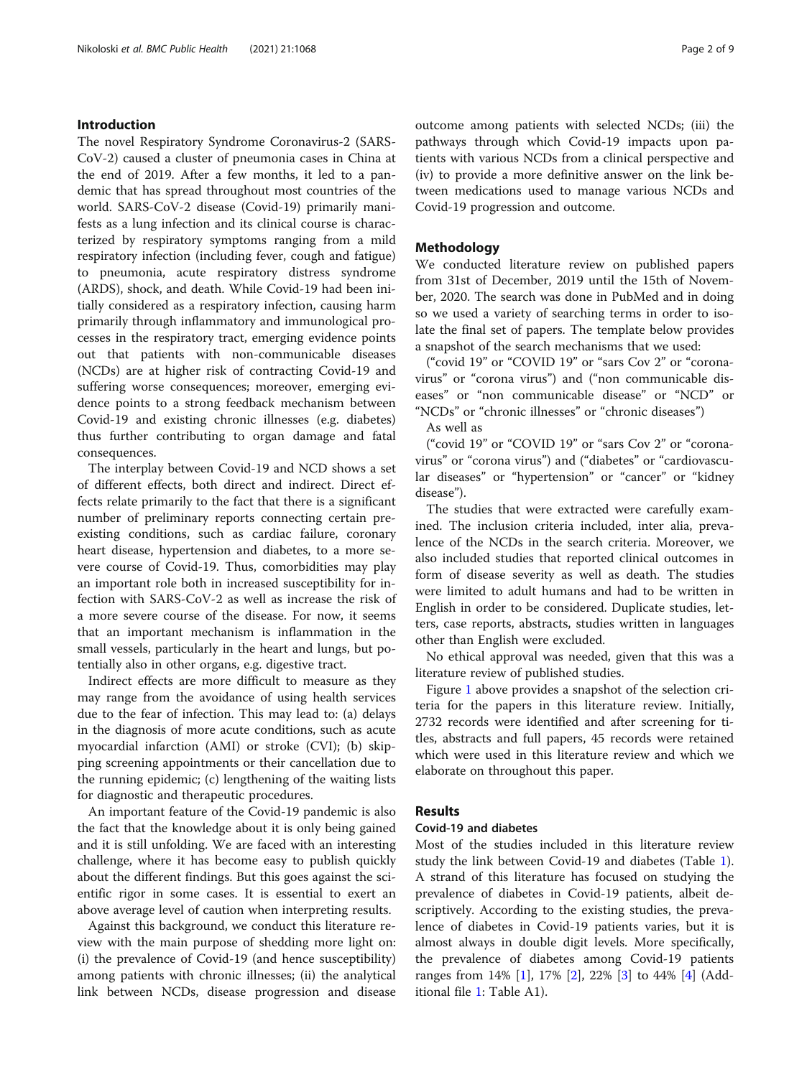# Introduction

The novel Respiratory Syndrome Coronavirus-2 (SARS-CoV-2) caused a cluster of pneumonia cases in China at the end of 2019. After a few months, it led to a pandemic that has spread throughout most countries of the world. SARS-CoV-2 disease (Covid-19) primarily manifests as a lung infection and its clinical course is characterized by respiratory symptoms ranging from a mild respiratory infection (including fever, cough and fatigue) to pneumonia, acute respiratory distress syndrome (ARDS), shock, and death. While Covid-19 had been initially considered as a respiratory infection, causing harm primarily through inflammatory and immunological processes in the respiratory tract, emerging evidence points out that patients with non-communicable diseases (NCDs) are at higher risk of contracting Covid-19 and suffering worse consequences; moreover, emerging evidence points to a strong feedback mechanism between Covid-19 and existing chronic illnesses (e.g. diabetes) thus further contributing to organ damage and fatal consequences.

The interplay between Covid-19 and NCD shows a set of different effects, both direct and indirect. Direct effects relate primarily to the fact that there is a significant number of preliminary reports connecting certain preexisting conditions, such as cardiac failure, coronary heart disease, hypertension and diabetes, to a more severe course of Covid-19. Thus, comorbidities may play an important role both in increased susceptibility for infection with SARS-CoV-2 as well as increase the risk of a more severe course of the disease. For now, it seems that an important mechanism is inflammation in the small vessels, particularly in the heart and lungs, but potentially also in other organs, e.g. digestive tract.

Indirect effects are more difficult to measure as they may range from the avoidance of using health services due to the fear of infection. This may lead to: (a) delays in the diagnosis of more acute conditions, such as acute myocardial infarction (AMI) or stroke (CVI); (b) skipping screening appointments or their cancellation due to the running epidemic; (c) lengthening of the waiting lists for diagnostic and therapeutic procedures.

An important feature of the Covid-19 pandemic is also the fact that the knowledge about it is only being gained and it is still unfolding. We are faced with an interesting challenge, where it has become easy to publish quickly about the different findings. But this goes against the scientific rigor in some cases. It is essential to exert an above average level of caution when interpreting results.

Against this background, we conduct this literature review with the main purpose of shedding more light on: (i) the prevalence of Covid-19 (and hence susceptibility) among patients with chronic illnesses; (ii) the analytical link between NCDs, disease progression and disease outcome among patients with selected NCDs; (iii) the pathways through which Covid-19 impacts upon patients with various NCDs from a clinical perspective and (iv) to provide a more definitive answer on the link between medications used to manage various NCDs and Covid-19 progression and outcome.

# Methodology

We conducted literature review on published papers from 31st of December, 2019 until the 15th of November, 2020. The search was done in PubMed and in doing so we used a variety of searching terms in order to isolate the final set of papers. The template below provides a snapshot of the search mechanisms that we used:

("covid 19" or "COVID 19" or "sars Cov 2" or "coronavirus" or "corona virus") and ("non communicable diseases" or "non communicable disease" or "NCD" or "NCDs" or "chronic illnesses" or "chronic diseases")

As well as

("covid 19" or "COVID 19" or "sars Cov 2" or "coronavirus" or "corona virus") and ("diabetes" or "cardiovascular diseases" or "hypertension" or "cancer" or "kidney disease").

The studies that were extracted were carefully examined. The inclusion criteria included, inter alia, prevalence of the NCDs in the search criteria. Moreover, we also included studies that reported clinical outcomes in form of disease severity as well as death. The studies were limited to adult humans and had to be written in English in order to be considered. Duplicate studies, letters, case reports, abstracts, studies written in languages other than English were excluded.

No ethical approval was needed, given that this was a literature review of published studies.

Figure [1](#page-2-0) above provides a snapshot of the selection criteria for the papers in this literature review. Initially, 2732 records were identified and after screening for titles, abstracts and full papers, 45 records were retained which were used in this literature review and which we elaborate on throughout this paper.

# Results

# Covid-19 and diabetes

Most of the studies included in this literature review study the link between Covid-19 and diabetes (Table [1](#page-3-0)). A strand of this literature has focused on studying the prevalence of diabetes in Covid-19 patients, albeit descriptively. According to the existing studies, the prevalence of diabetes in Covid-19 patients varies, but it is almost always in double digit levels. More specifically, the prevalence of diabetes among Covid-19 patients ranges from 14% [\[1](#page-7-0)], 17% [[2\]](#page-7-0), 22% [[3\]](#page-7-0) to 44% [[4\]](#page-7-0) (Additional file [1:](#page-7-0) Table A1).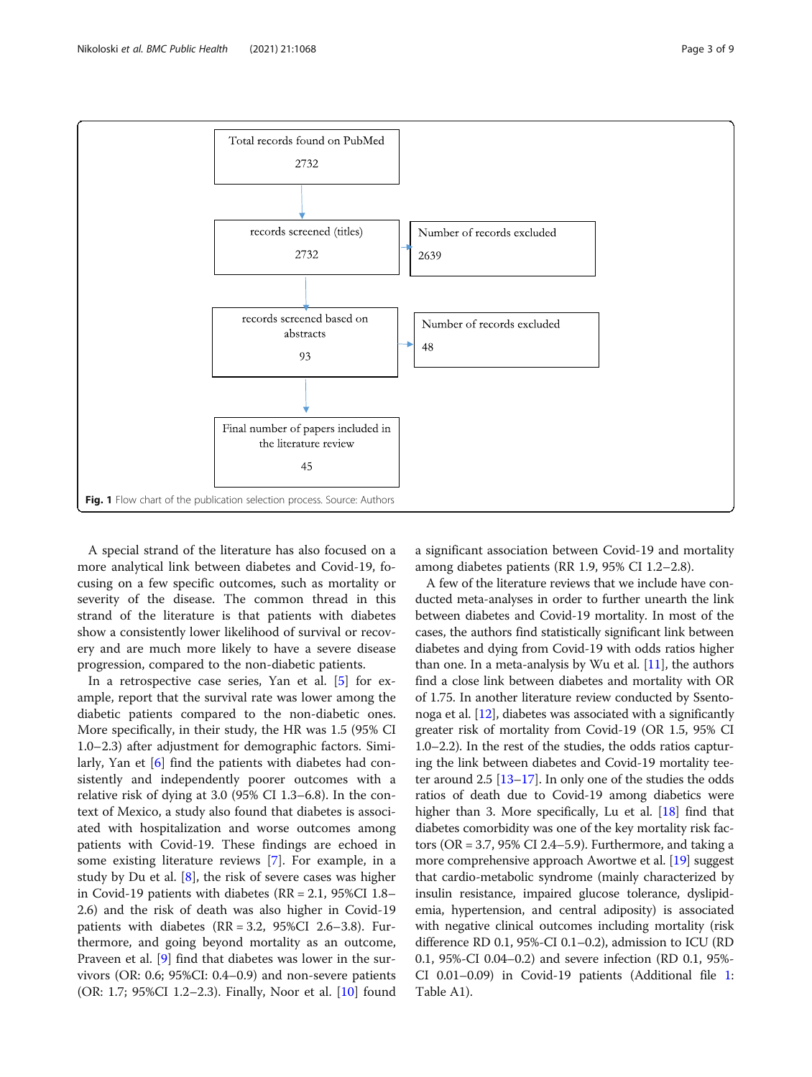<span id="page-2-0"></span>

A special strand of the literature has also focused on a more analytical link between diabetes and Covid-19, focusing on a few specific outcomes, such as mortality or severity of the disease. The common thread in this strand of the literature is that patients with diabetes show a consistently lower likelihood of survival or recovery and are much more likely to have a severe disease progression, compared to the non-diabetic patients.

In a retrospective case series, Yan et al. [[5\]](#page-7-0) for example, report that the survival rate was lower among the diabetic patients compared to the non-diabetic ones. More specifically, in their study, the HR was 1.5 (95% CI 1.0–2.3) after adjustment for demographic factors. Similarly, Yan et [\[6](#page-7-0)] find the patients with diabetes had consistently and independently poorer outcomes with a relative risk of dying at 3.0 (95% CI 1.3–6.8). In the context of Mexico, a study also found that diabetes is associated with hospitalization and worse outcomes among patients with Covid-19. These findings are echoed in some existing literature reviews [\[7\]](#page-7-0). For example, in a study by Du et al. [[8\]](#page-7-0), the risk of severe cases was higher in Covid-19 patients with diabetes ( $RR = 2.1$ , 95%CI 1.8– 2.6) and the risk of death was also higher in Covid-19 patients with diabetes (RR = 3.2, 95%CI 2.6–3.8). Furthermore, and going beyond mortality as an outcome, Praveen et al. [\[9\]](#page-7-0) find that diabetes was lower in the survivors (OR: 0.6; 95%CI: 0.4–0.9) and non-severe patients (OR: 1.7; 95%CI 1.2–2.3). Finally, Noor et al. [\[10\]](#page-7-0) found

a significant association between Covid-19 and mortality among diabetes patients (RR 1.9, 95% CI 1.2–2.8).

A few of the literature reviews that we include have conducted meta-analyses in order to further unearth the link between diabetes and Covid-19 mortality. In most of the cases, the authors find statistically significant link between diabetes and dying from Covid-19 with odds ratios higher than one. In a meta-analysis by Wu et al.  $[11]$ , the authors find a close link between diabetes and mortality with OR of 1.75. In another literature review conducted by Ssentonoga et al.  $[12]$ , diabetes was associated with a significantly greater risk of mortality from Covid-19 (OR 1.5, 95% CI 1.0–2.2). In the rest of the studies, the odds ratios capturing the link between diabetes and Covid-19 mortality teeter around 2.5 [\[13](#page-7-0)–[17](#page-8-0)]. In only one of the studies the odds ratios of death due to Covid-19 among diabetics were higher than 3. More specifically, Lu et al. [[18\]](#page-8-0) find that diabetes comorbidity was one of the key mortality risk factors (OR = 3.7, 95% CI 2.4–5.9). Furthermore, and taking a more comprehensive approach Awortwe et al. [\[19\]](#page-8-0) suggest that cardio-metabolic syndrome (mainly characterized by insulin resistance, impaired glucose tolerance, dyslipidemia, hypertension, and central adiposity) is associated with negative clinical outcomes including mortality (risk difference RD 0.1, 95%-CI 0.1–0.2), admission to ICU (RD 0.1, 95%-CI 0.04–0.2) and severe infection (RD 0.1, 95%- CI 0.01–0.09) in Covid-19 patients (Additional file [1](#page-7-0): Table A1).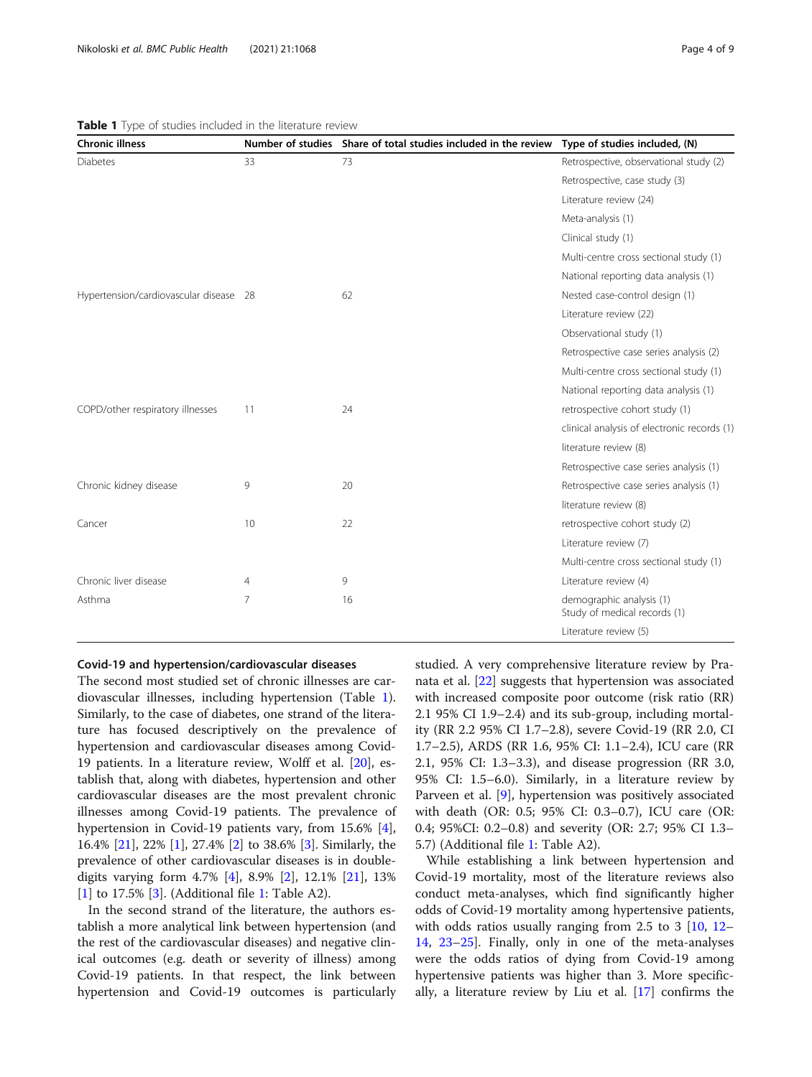| <b>Chronic illness</b>                 |    | Number of studies Share of total studies included in the review | Type of studies included, (N)                            |
|----------------------------------------|----|-----------------------------------------------------------------|----------------------------------------------------------|
| <b>Diabetes</b>                        | 33 | 73                                                              | Retrospective, observational study (2)                   |
|                                        |    |                                                                 | Retrospective, case study (3)                            |
|                                        |    |                                                                 | Literature review (24)                                   |
|                                        |    |                                                                 | Meta-analysis (1)                                        |
|                                        |    |                                                                 | Clinical study (1)                                       |
|                                        |    |                                                                 | Multi-centre cross sectional study (1)                   |
|                                        |    |                                                                 | National reporting data analysis (1)                     |
| Hypertension/cardiovascular disease 28 |    | 62                                                              | Nested case-control design (1)                           |
|                                        |    |                                                                 | Literature review (22)                                   |
|                                        |    |                                                                 | Observational study (1)                                  |
|                                        |    |                                                                 | Retrospective case series analysis (2)                   |
|                                        |    |                                                                 | Multi-centre cross sectional study (1)                   |
|                                        |    |                                                                 | National reporting data analysis (1)                     |
| COPD/other respiratory illnesses       | 11 | 24                                                              | retrospective cohort study (1)                           |
|                                        |    |                                                                 | clinical analysis of electronic records (1)              |
|                                        |    |                                                                 | literature review (8)                                    |
|                                        |    |                                                                 | Retrospective case series analysis (1)                   |
| Chronic kidney disease                 | 9  | 20                                                              | Retrospective case series analysis (1)                   |
|                                        |    |                                                                 | literature review (8)                                    |
| Cancer                                 | 10 | 22                                                              | retrospective cohort study (2)                           |
|                                        |    |                                                                 | Literature review (7)                                    |
|                                        |    |                                                                 | Multi-centre cross sectional study (1)                   |
| Chronic liver disease                  | 4  | 9                                                               | Literature review (4)                                    |
| Asthma                                 | 7  | 16                                                              | demographic analysis (1)<br>Study of medical records (1) |
|                                        |    |                                                                 | Literature review (5)                                    |

# <span id="page-3-0"></span>Table 1 Type of studies included in the literature review

#### Covid-19 and hypertension/cardiovascular diseases

The second most studied set of chronic illnesses are cardiovascular illnesses, including hypertension (Table 1). Similarly, to the case of diabetes, one strand of the literature has focused descriptively on the prevalence of hypertension and cardiovascular diseases among Covid-19 patients. In a literature review, Wolff et al. [[20](#page-8-0)], establish that, along with diabetes, hypertension and other cardiovascular diseases are the most prevalent chronic illnesses among Covid-19 patients. The prevalence of hypertension in Covid-19 patients vary, from 15.6% [\[4](#page-7-0)], 16.4% [[21](#page-8-0)], 22% [[1\]](#page-7-0), 27.4% [[2\]](#page-7-0) to 38.6% [\[3](#page-7-0)]. Similarly, the prevalence of other cardiovascular diseases is in doubledigits varying form 4.7% [[4\]](#page-7-0), 8.9% [[2](#page-7-0)], 12.1% [\[21](#page-8-0)], 13% [[1\]](#page-7-0) to 17.5% [[3\]](#page-7-0). (Additional file [1:](#page-7-0) Table A2).

In the second strand of the literature, the authors establish a more analytical link between hypertension (and the rest of the cardiovascular diseases) and negative clinical outcomes (e.g. death or severity of illness) among Covid-19 patients. In that respect, the link between hypertension and Covid-19 outcomes is particularly studied. A very comprehensive literature review by Pranata et al. [\[22](#page-8-0)] suggests that hypertension was associated with increased composite poor outcome (risk ratio (RR) 2.1 95% CI 1.9–2.4) and its sub-group, including mortality (RR 2.2 95% CI 1.7–2.8), severe Covid-19 (RR 2.0, CI 1.7–2.5), ARDS (RR 1.6, 95% CI: 1.1–2.4), ICU care (RR 2.1, 95% CI: 1.3–3.3), and disease progression (RR 3.0, 95% CI: 1.5–6.0). Similarly, in a literature review by Parveen et al. [\[9](#page-7-0)], hypertension was positively associated with death (OR: 0.5; 95% CI: 0.3–0.7), ICU care (OR: 0.4; 95%CI: 0.2–0.8) and severity (OR: 2.7; 95% CI 1.3– 5.7) (Additional file [1](#page-7-0): Table A2).

While establishing a link between hypertension and Covid-19 mortality, most of the literature reviews also conduct meta-analyses, which find significantly higher odds of Covid-19 mortality among hypertensive patients, with odds ratios usually ranging from 2.5 to 3 [[10,](#page-7-0) [12](#page-7-0)– [14,](#page-7-0) [23](#page-8-0)–[25\]](#page-8-0). Finally, only in one of the meta-analyses were the odds ratios of dying from Covid-19 among hypertensive patients was higher than 3. More specifically, a literature review by Liu et al. [[17\]](#page-8-0) confirms the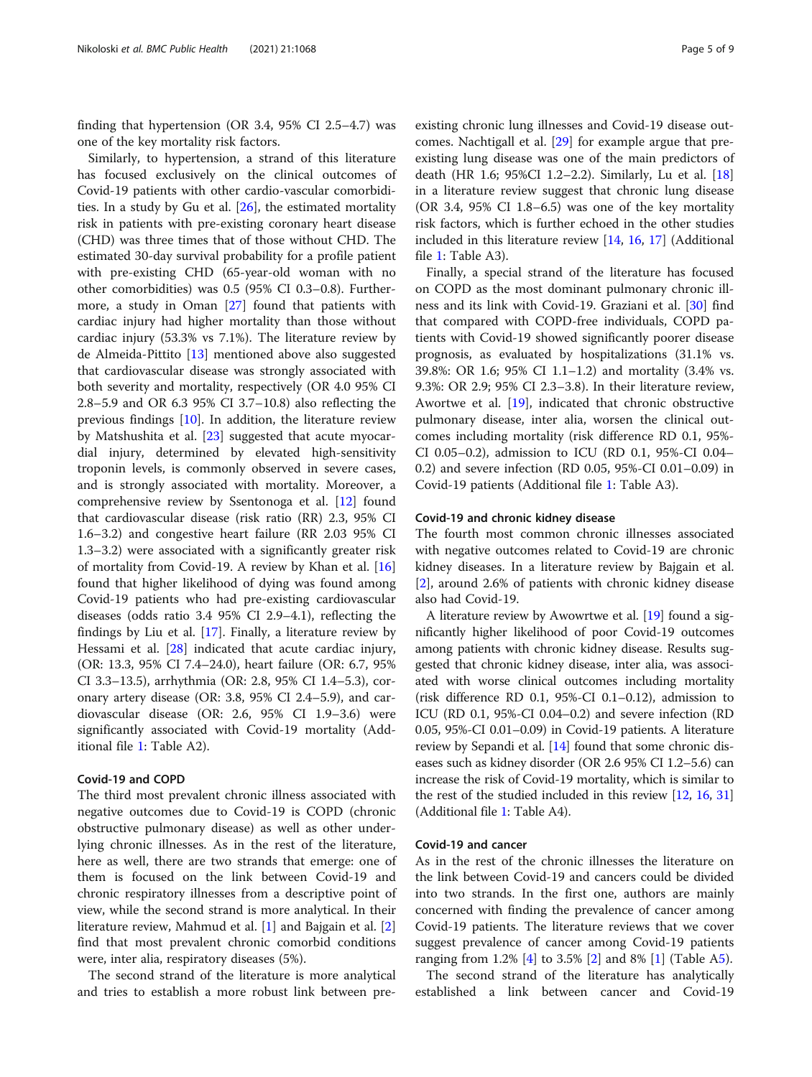finding that hypertension (OR 3.4, 95% CI 2.5–4.7) was one of the key mortality risk factors.

Similarly, to hypertension, a strand of this literature has focused exclusively on the clinical outcomes of Covid-19 patients with other cardio-vascular comorbidities. In a study by Gu et al. [\[26\]](#page-8-0), the estimated mortality risk in patients with pre-existing coronary heart disease (CHD) was three times that of those without CHD. The estimated 30-day survival probability for a profile patient with pre-existing CHD (65-year-old woman with no other comorbidities) was 0.5 (95% CI 0.3–0.8). Furthermore, a study in Oman [[27\]](#page-8-0) found that patients with cardiac injury had higher mortality than those without cardiac injury (53.3% vs 7.1%). The literature review by de Almeida-Pittito [[13\]](#page-7-0) mentioned above also suggested that cardiovascular disease was strongly associated with both severity and mortality, respectively (OR 4.0 95% CI 2.8–5.9 and OR 6.3 95% CI 3.7–10.8) also reflecting the previous findings  $[10]$  $[10]$ . In addition, the literature review by Matshushita et al. [\[23](#page-8-0)] suggested that acute myocardial injury, determined by elevated high-sensitivity troponin levels, is commonly observed in severe cases, and is strongly associated with mortality. Moreover, a comprehensive review by Ssentonoga et al. [[12\]](#page-7-0) found that cardiovascular disease (risk ratio (RR) 2.3, 95% CI 1.6–3.2) and congestive heart failure (RR 2.03 95% CI 1.3–3.2) were associated with a significantly greater risk of mortality from Covid-19. A review by Khan et al. [[16](#page-8-0)] found that higher likelihood of dying was found among Covid-19 patients who had pre-existing cardiovascular diseases (odds ratio 3.4 95% CI 2.9–4.1), reflecting the findings by Liu et al. [\[17](#page-8-0)]. Finally, a literature review by Hessami et al. [[28\]](#page-8-0) indicated that acute cardiac injury, (OR: 13.3, 95% CI 7.4–24.0), heart failure (OR: 6.7, 95% CI 3.3–13.5), arrhythmia (OR: 2.8, 95% CI 1.4–5.3), coronary artery disease (OR: 3.8, 95% CI 2.4–5.9), and cardiovascular disease (OR: 2.6, 95% CI 1.9–3.6) were significantly associated with Covid-19 mortality (Additional file [1:](#page-7-0) Table A2).

# Covid-19 and COPD

The third most prevalent chronic illness associated with negative outcomes due to Covid-19 is COPD (chronic obstructive pulmonary disease) as well as other underlying chronic illnesses. As in the rest of the literature, here as well, there are two strands that emerge: one of them is focused on the link between Covid-19 and chronic respiratory illnesses from a descriptive point of view, while the second strand is more analytical. In their literature review, Mahmud et al. [[1\]](#page-7-0) and Bajgain et al. [\[2](#page-7-0)] find that most prevalent chronic comorbid conditions were, inter alia, respiratory diseases (5%).

The second strand of the literature is more analytical and tries to establish a more robust link between pre-

existing chronic lung illnesses and Covid-19 disease outcomes. Nachtigall et al. [[29](#page-8-0)] for example argue that preexisting lung disease was one of the main predictors of death (HR 1.6; 95%CI 1.2–2.2). Similarly, Lu et al. [[18](#page-8-0)] in a literature review suggest that chronic lung disease (OR 3.4, 95% CI 1.8–6.5) was one of the key mortality risk factors, which is further echoed in the other studies included in this literature review [[14](#page-7-0), [16,](#page-8-0) [17\]](#page-8-0) (Additional file [1:](#page-7-0) Table A3).

Finally, a special strand of the literature has focused on COPD as the most dominant pulmonary chronic illness and its link with Covid-19. Graziani et al. [[30\]](#page-8-0) find that compared with COPD-free individuals, COPD patients with Covid-19 showed significantly poorer disease prognosis, as evaluated by hospitalizations (31.1% vs. 39.8%: OR 1.6; 95% CI 1.1–1.2) and mortality (3.4% vs. 9.3%: OR 2.9; 95% CI 2.3–3.8). In their literature review, Awortwe et al. [\[19](#page-8-0)], indicated that chronic obstructive pulmonary disease, inter alia, worsen the clinical outcomes including mortality (risk difference RD 0.1, 95%- CI 0.05–0.2), admission to ICU (RD 0.1, 95%-CI 0.04– 0.2) and severe infection (RD 0.05, 95%-CI 0.01–0.09) in Covid-19 patients (Additional file [1:](#page-7-0) Table A3).

# Covid-19 and chronic kidney disease

The fourth most common chronic illnesses associated with negative outcomes related to Covid-19 are chronic kidney diseases. In a literature review by Bajgain et al. [[2\]](#page-7-0), around 2.6% of patients with chronic kidney disease also had Covid-19.

A literature review by Awowrtwe et al. [[19](#page-8-0)] found a significantly higher likelihood of poor Covid-19 outcomes among patients with chronic kidney disease. Results suggested that chronic kidney disease, inter alia, was associated with worse clinical outcomes including mortality (risk difference RD 0.1, 95%-CI 0.1–0.12), admission to ICU (RD 0.1, 95%-CI 0.04–0.2) and severe infection (RD 0.05, 95%-CI 0.01–0.09) in Covid-19 patients. A literature review by Sepandi et al. [[14](#page-7-0)] found that some chronic diseases such as kidney disorder (OR 2.6 95% CI 1.2–5.6) can increase the risk of Covid-19 mortality, which is similar to the rest of the studied included in this review [\[12,](#page-7-0) [16](#page-8-0), [31](#page-8-0)] (Additional file [1](#page-7-0): Table A4).

# Covid-19 and cancer

As in the rest of the chronic illnesses the literature on the link between Covid-19 and cancers could be divided into two strands. In the first one, authors are mainly concerned with finding the prevalence of cancer among Covid-19 patients. The literature reviews that we cover suggest prevalence of cancer among Covid-19 patients ranging from 1.2% [\[4](#page-7-0)] to 3.5% [\[2](#page-7-0)] and 8% [\[1](#page-7-0)] (Table [A5](#page-7-0)).

The second strand of the literature has analytically established a link between cancer and Covid-19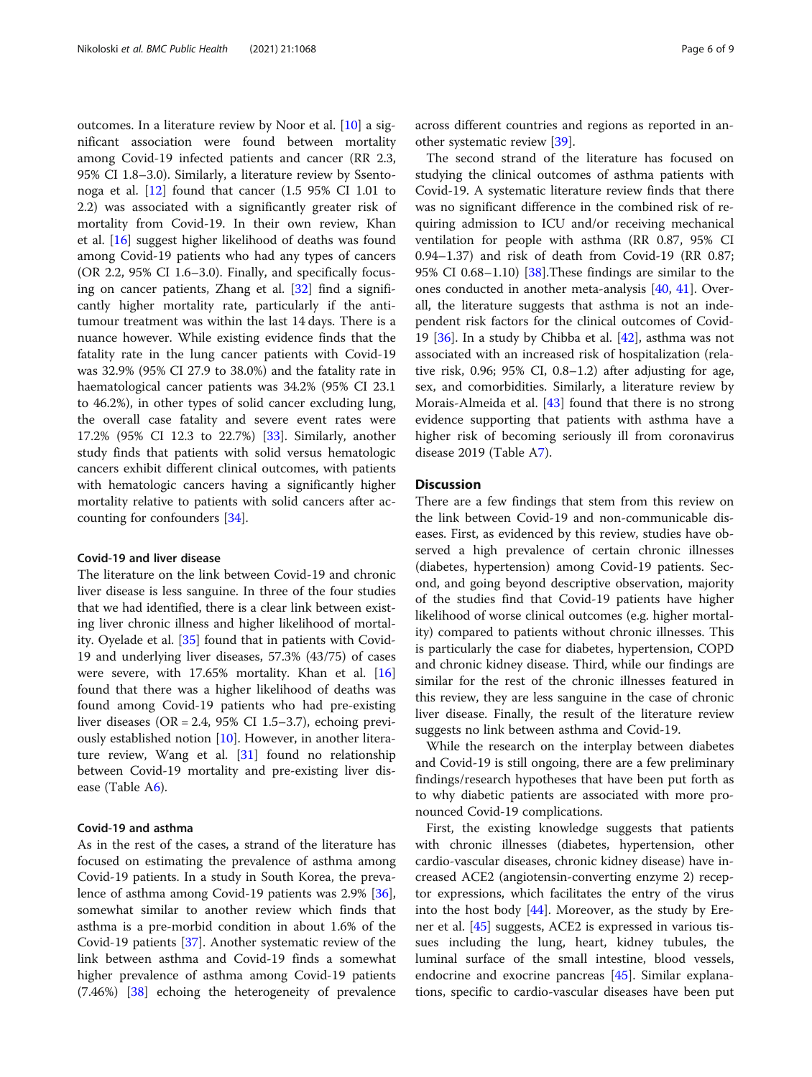outcomes. In a literature review by Noor et al. [[10](#page-7-0)] a significant association were found between mortality among Covid-19 infected patients and cancer (RR 2.3, 95% CI 1.8–3.0). Similarly, a literature review by Ssentonoga et al. [\[12](#page-7-0)] found that cancer (1.5 95% CI 1.01 to 2.2) was associated with a significantly greater risk of mortality from Covid-19. In their own review, Khan et al. [[16](#page-8-0)] suggest higher likelihood of deaths was found among Covid-19 patients who had any types of cancers (OR 2.2, 95% CI 1.6–3.0). Finally, and specifically focusing on cancer patients, Zhang et al. [\[32](#page-8-0)] find a significantly higher mortality rate, particularly if the antitumour treatment was within the last 14 days. There is a nuance however. While existing evidence finds that the fatality rate in the lung cancer patients with Covid-19 was 32.9% (95% CI 27.9 to 38.0%) and the fatality rate in haematological cancer patients was 34.2% (95% CI 23.1 to 46.2%), in other types of solid cancer excluding lung, the overall case fatality and severe event rates were 17.2% (95% CI 12.3 to 22.7%) [[33\]](#page-8-0). Similarly, another study finds that patients with solid versus hematologic cancers exhibit different clinical outcomes, with patients with hematologic cancers having a significantly higher mortality relative to patients with solid cancers after accounting for confounders [\[34\]](#page-8-0).

# Covid-19 and liver disease

The literature on the link between Covid-19 and chronic liver disease is less sanguine. In three of the four studies that we had identified, there is a clear link between existing liver chronic illness and higher likelihood of mortality. Oyelade et al. [[35\]](#page-8-0) found that in patients with Covid-19 and underlying liver diseases, 57.3% (43/75) of cases were severe, with 17.65% mortality. Khan et al. [[16](#page-8-0)] found that there was a higher likelihood of deaths was found among Covid-19 patients who had pre-existing liver diseases (OR = 2.4, 95% CI 1.5–3.7), echoing previously established notion [\[10](#page-7-0)]. However, in another literature review, Wang et al. [[31](#page-8-0)] found no relationship between Covid-19 mortality and pre-existing liver dis-ease (Table A[6\)](#page-7-0).

# Covid-19 and asthma

As in the rest of the cases, a strand of the literature has focused on estimating the prevalence of asthma among Covid-19 patients. In a study in South Korea, the prevalence of asthma among Covid-19 patients was 2.9% [\[36](#page-8-0)], somewhat similar to another review which finds that asthma is a pre-morbid condition in about 1.6% of the Covid-19 patients [[37\]](#page-8-0). Another systematic review of the link between asthma and Covid-19 finds a somewhat higher prevalence of asthma among Covid-19 patients (7.46%) [[38\]](#page-8-0) echoing the heterogeneity of prevalence

across different countries and regions as reported in another systematic review [[39\]](#page-8-0).

The second strand of the literature has focused on studying the clinical outcomes of asthma patients with Covid-19. A systematic literature review finds that there was no significant difference in the combined risk of requiring admission to ICU and/or receiving mechanical ventilation for people with asthma (RR 0.87, 95% CI 0.94–1.37) and risk of death from Covid-19 (RR 0.87; 95% CI 0.68–1.10) [[38\]](#page-8-0).These findings are similar to the ones conducted in another meta-analysis [[40,](#page-8-0) [41](#page-8-0)]. Overall, the literature suggests that asthma is not an independent risk factors for the clinical outcomes of Covid-19  $[36]$  $[36]$ . In a study by Chibba et al.  $[42]$  $[42]$ , asthma was not associated with an increased risk of hospitalization (relative risk, 0.96; 95% CI, 0.8–1.2) after adjusting for age, sex, and comorbidities. Similarly, a literature review by Morais-Almeida et al. [\[43](#page-8-0)] found that there is no strong evidence supporting that patients with asthma have a higher risk of becoming seriously ill from coronavirus disease 2019 (Table A[7\)](#page-7-0).

# **Discussion**

There are a few findings that stem from this review on the link between Covid-19 and non-communicable diseases. First, as evidenced by this review, studies have observed a high prevalence of certain chronic illnesses (diabetes, hypertension) among Covid-19 patients. Second, and going beyond descriptive observation, majority of the studies find that Covid-19 patients have higher likelihood of worse clinical outcomes (e.g. higher mortality) compared to patients without chronic illnesses. This is particularly the case for diabetes, hypertension, COPD and chronic kidney disease. Third, while our findings are similar for the rest of the chronic illnesses featured in this review, they are less sanguine in the case of chronic liver disease. Finally, the result of the literature review suggests no link between asthma and Covid-19.

While the research on the interplay between diabetes and Covid-19 is still ongoing, there are a few preliminary findings/research hypotheses that have been put forth as to why diabetic patients are associated with more pronounced Covid-19 complications.

First, the existing knowledge suggests that patients with chronic illnesses (diabetes, hypertension, other cardio-vascular diseases, chronic kidney disease) have increased ACE2 (angiotensin-converting enzyme 2) receptor expressions, which facilitates the entry of the virus into the host body  $[44]$  $[44]$ . Moreover, as the study by Erener et al. [\[45](#page-8-0)] suggests, ACE2 is expressed in various tissues including the lung, heart, kidney tubules, the luminal surface of the small intestine, blood vessels, endocrine and exocrine pancreas [\[45\]](#page-8-0). Similar explanations, specific to cardio-vascular diseases have been put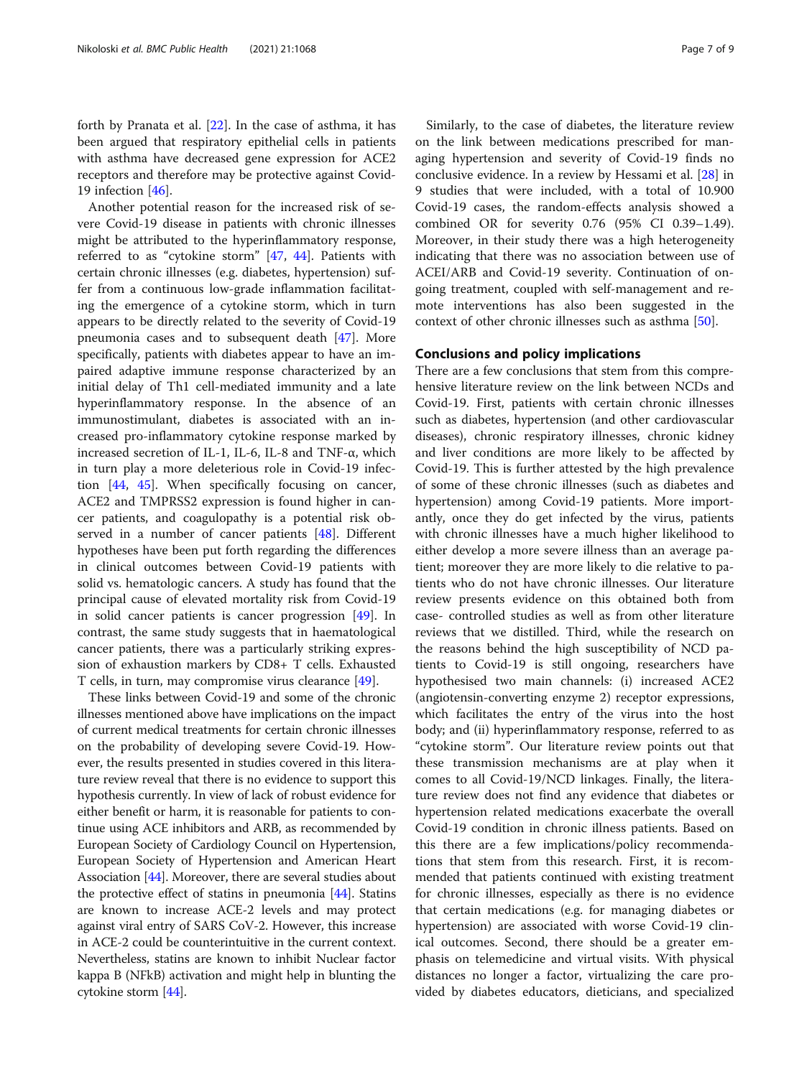forth by Pranata et al. [\[22](#page-8-0)]. In the case of asthma, it has been argued that respiratory epithelial cells in patients with asthma have decreased gene expression for ACE2 receptors and therefore may be protective against Covid-19 infection [\[46](#page-8-0)].

Another potential reason for the increased risk of severe Covid-19 disease in patients with chronic illnesses might be attributed to the hyperinflammatory response, referred to as "cytokine storm" [\[47](#page-8-0), [44](#page-8-0)]. Patients with certain chronic illnesses (e.g. diabetes, hypertension) suffer from a continuous low-grade inflammation facilitating the emergence of a cytokine storm, which in turn appears to be directly related to the severity of Covid-19 pneumonia cases and to subsequent death [\[47\]](#page-8-0). More specifically, patients with diabetes appear to have an impaired adaptive immune response characterized by an initial delay of Th1 cell-mediated immunity and a late hyperinflammatory response. In the absence of an immunostimulant, diabetes is associated with an increased pro-inflammatory cytokine response marked by increased secretion of IL-1, IL-6, IL-8 and TNF-α, which in turn play a more deleterious role in Covid-19 infection [\[44](#page-8-0), [45\]](#page-8-0). When specifically focusing on cancer, ACE2 and TMPRSS2 expression is found higher in cancer patients, and coagulopathy is a potential risk observed in a number of cancer patients [[48](#page-8-0)]. Different hypotheses have been put forth regarding the differences in clinical outcomes between Covid-19 patients with solid vs. hematologic cancers. A study has found that the principal cause of elevated mortality risk from Covid-19 in solid cancer patients is cancer progression [[49\]](#page-8-0). In contrast, the same study suggests that in haematological cancer patients, there was a particularly striking expression of exhaustion markers by CD8+ T cells. Exhausted T cells, in turn, may compromise virus clearance [[49\]](#page-8-0).

These links between Covid-19 and some of the chronic illnesses mentioned above have implications on the impact of current medical treatments for certain chronic illnesses on the probability of developing severe Covid-19. However, the results presented in studies covered in this literature review reveal that there is no evidence to support this hypothesis currently. In view of lack of robust evidence for either benefit or harm, it is reasonable for patients to continue using ACE inhibitors and ARB, as recommended by European Society of Cardiology Council on Hypertension, European Society of Hypertension and American Heart Association [[44](#page-8-0)]. Moreover, there are several studies about the protective effect of statins in pneumonia  $[44]$ . Statins are known to increase ACE-2 levels and may protect against viral entry of SARS CoV-2. However, this increase in ACE-2 could be counterintuitive in the current context. Nevertheless, statins are known to inhibit Nuclear factor kappa B (NFkB) activation and might help in blunting the cytokine storm [\[44\]](#page-8-0).

Similarly, to the case of diabetes, the literature review on the link between medications prescribed for managing hypertension and severity of Covid-19 finds no conclusive evidence. In a review by Hessami et al. [[28](#page-8-0)] in 9 studies that were included, with a total of 10.900 Covid-19 cases, the random-effects analysis showed a combined OR for severity 0.76 (95% CI 0.39–1.49). Moreover, in their study there was a high heterogeneity indicating that there was no association between use of ACEI/ARB and Covid-19 severity. Continuation of ongoing treatment, coupled with self-management and remote interventions has also been suggested in the context of other chronic illnesses such as asthma [[50\]](#page-8-0).

# Conclusions and policy implications

There are a few conclusions that stem from this comprehensive literature review on the link between NCDs and Covid-19. First, patients with certain chronic illnesses such as diabetes, hypertension (and other cardiovascular diseases), chronic respiratory illnesses, chronic kidney and liver conditions are more likely to be affected by Covid-19. This is further attested by the high prevalence of some of these chronic illnesses (such as diabetes and hypertension) among Covid-19 patients. More importantly, once they do get infected by the virus, patients with chronic illnesses have a much higher likelihood to either develop a more severe illness than an average patient; moreover they are more likely to die relative to patients who do not have chronic illnesses. Our literature review presents evidence on this obtained both from case- controlled studies as well as from other literature reviews that we distilled. Third, while the research on the reasons behind the high susceptibility of NCD patients to Covid-19 is still ongoing, researchers have hypothesised two main channels: (i) increased ACE2 (angiotensin-converting enzyme 2) receptor expressions, which facilitates the entry of the virus into the host body; and (ii) hyperinflammatory response, referred to as "cytokine storm". Our literature review points out that these transmission mechanisms are at play when it comes to all Covid-19/NCD linkages. Finally, the literature review does not find any evidence that diabetes or hypertension related medications exacerbate the overall Covid-19 condition in chronic illness patients. Based on this there are a few implications/policy recommendations that stem from this research. First, it is recommended that patients continued with existing treatment for chronic illnesses, especially as there is no evidence that certain medications (e.g. for managing diabetes or hypertension) are associated with worse Covid-19 clinical outcomes. Second, there should be a greater emphasis on telemedicine and virtual visits. With physical distances no longer a factor, virtualizing the care provided by diabetes educators, dieticians, and specialized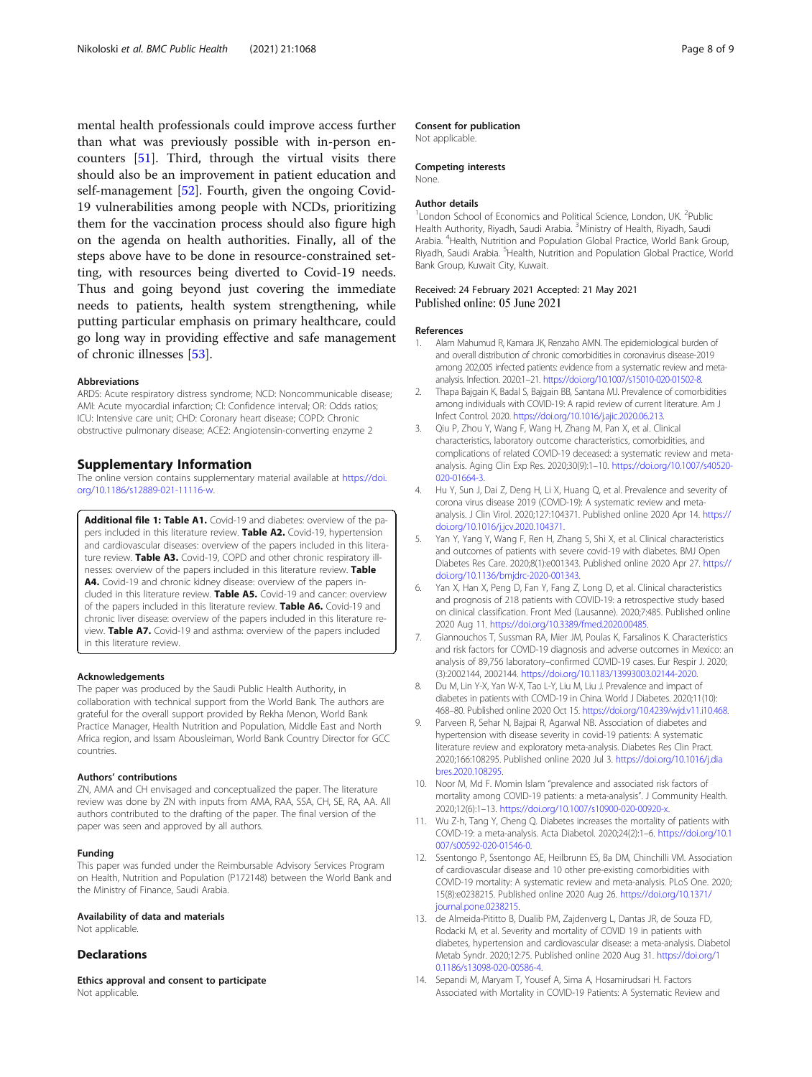<span id="page-7-0"></span>mental health professionals could improve access further than what was previously possible with in-person encounters [\[51\]](#page-8-0). Third, through the virtual visits there should also be an improvement in patient education and self-management [\[52\]](#page-8-0). Fourth, given the ongoing Covid-19 vulnerabilities among people with NCDs, prioritizing them for the vaccination process should also figure high on the agenda on health authorities. Finally, all of the steps above have to be done in resource-constrained setting, with resources being diverted to Covid-19 needs. Thus and going beyond just covering the immediate needs to patients, health system strengthening, while putting particular emphasis on primary healthcare, could go long way in providing effective and safe management of chronic illnesses [[53\]](#page-8-0).

#### Abbreviations

ARDS: Acute respiratory distress syndrome; NCD: Noncommunicable disease; AMI: Acute myocardial infarction; CI: Confidence interval; OR: Odds ratios; ICU: Intensive care unit; CHD: Coronary heart disease; COPD: Chronic obstructive pulmonary disease; ACE2: Angiotensin-converting enzyme 2

## Supplementary Information

The online version contains supplementary material available at [https://doi.](https://doi.org/10.1186/s12889-021-11116-w) [org/10.1186/s12889-021-11116-w](https://doi.org/10.1186/s12889-021-11116-w).

Additional file 1: Table A1. Covid-19 and diabetes: overview of the papers included in this literature review. Table A2. Covid-19, hypertension and cardiovascular diseases: overview of the papers included in this literature review. Table A3. Covid-19, COPD and other chronic respiratory illnesses: overview of the papers included in this literature review. Table A4. Covid-19 and chronic kidney disease: overview of the papers included in this literature review. Table A5. Covid-19 and cancer: overview of the papers included in this literature review. Table A6. Covid-19 and chronic liver disease: overview of the papers included in this literature review. Table A7. Covid-19 and asthma: overview of the papers included in this literature review.

#### Acknowledgements

The paper was produced by the Saudi Public Health Authority, in collaboration with technical support from the World Bank. The authors are grateful for the overall support provided by Rekha Menon, World Bank Practice Manager, Health Nutrition and Population, Middle East and North Africa region, and Issam Abousleiman, World Bank Country Director for GCC countries.

#### Authors' contributions

ZN, AMA and CH envisaged and conceptualized the paper. The literature review was done by ZN with inputs from AMA, RAA, SSA, CH, SE, RA, AA. All authors contributed to the drafting of the paper. The final version of the paper was seen and approved by all authors.

#### Funding

This paper was funded under the Reimbursable Advisory Services Program on Health, Nutrition and Population (P172148) between the World Bank and the Ministry of Finance, Saudi Arabia.

#### Availability of data and materials

Not applicable.

#### **Declarations**

Ethics approval and consent to participate Not applicable.

## Consent for publication

Not applicable.

#### Competing interests

None.

#### Author details

<sup>1</sup> London School of Economics and Political Science, London, UK. <sup>2</sup>Public Health Authority, Riyadh, Saudi Arabia. <sup>3</sup>Ministry of Health, Riyadh, Saudi Arabia. <sup>4</sup> Health, Nutrition and Population Global Practice, World Bank Group, Riyadh, Saudi Arabia. <sup>5</sup> Health, Nutrition and Population Global Practice, World Bank Group, Kuwait City, Kuwait.

#### Received: 24 February 2021 Accepted: 21 May 2021 Published online: 05 June 2021

#### References

- 1. Alam Mahumud R, Kamara JK, Renzaho AMN. The epidemiological burden of and overall distribution of chronic comorbidities in coronavirus disease-2019 among 202,005 infected patients: evidence from a systematic review and metaanalysis. Infection. 2020:1–21. <https://doi.org/10.1007/s15010-020-01502-8>.
- 2. Thapa Bajgain K, Badal S, Bajgain BB, Santana MJ. Prevalence of comorbidities among individuals with COVID-19: A rapid review of current literature. Am J Infect Control. 2020. <https://doi.org/10.1016/j.ajic.2020.06.213>.
- 3. Qiu P, Zhou Y, Wang F, Wang H, Zhang M, Pan X, et al. Clinical characteristics, laboratory outcome characteristics, comorbidities, and complications of related COVID-19 deceased: a systematic review and metaanalysis. Aging Clin Exp Res. 2020;30(9):1–10. [https://doi.org/10.1007/s40520-](https://doi.org/10.1007/s40520-020-01664-3) [020-01664-3.](https://doi.org/10.1007/s40520-020-01664-3)
- 4. Hu Y, Sun J, Dai Z, Deng H, Li X, Huang Q, et al. Prevalence and severity of corona virus disease 2019 (COVID-19): A systematic review and metaanalysis. J Clin Virol. 2020;127:104371. Published online 2020 Apr 14. [https://](https://doi.org/10.1016/j.jcv.2020.104371) [doi.org/10.1016/j.jcv.2020.104371](https://doi.org/10.1016/j.jcv.2020.104371).
- 5. Yan Y, Yang Y, Wang F, Ren H, Zhang S, Shi X, et al. Clinical characteristics and outcomes of patients with severe covid-19 with diabetes. BMJ Open Diabetes Res Care. 2020;8(1):e001343. Published online 2020 Apr 27. [https://](https://doi.org/10.1136/bmjdrc-2020-001343) [doi.org/10.1136/bmjdrc-2020-001343.](https://doi.org/10.1136/bmjdrc-2020-001343)
- 6. Yan X, Han X, Peng D, Fan Y, Fang Z, Long D, et al. Clinical characteristics and prognosis of 218 patients with COVID-19: a retrospective study based on clinical classification. Front Med (Lausanne). 2020;7:485. Published online 2020 Aug 11. [https://doi.org/10.3389/fmed.2020.00485.](https://doi.org/10.3389/fmed.2020.00485)
- 7. Giannouchos T, Sussman RA, Mier JM, Poulas K, Farsalinos K. Characteristics and risk factors for COVID-19 diagnosis and adverse outcomes in Mexico: an analysis of 89,756 laboratory–confirmed COVID-19 cases. Eur Respir J. 2020; (3):2002144, 2002144. [https://doi.org/10.1183/13993003.02144-2020.](https://doi.org/10.1183/13993003.02144-2020)
- 8. Du M, Lin Y-X, Yan W-X, Tao L-Y, Liu M, Liu J. Prevalence and impact of diabetes in patients with COVID-19 in China. World J Diabetes. 2020;11(10): 468–80. Published online 2020 Oct 15. [https://doi.org/10.4239/wjd.v11.i10.468.](https://doi.org/10.4239/wjd.v11.i10.468)
- 9. Parveen R, Sehar N, Bajpai R, Agarwal NB. Association of diabetes and hypertension with disease severity in covid-19 patients: A systematic literature review and exploratory meta-analysis. Diabetes Res Clin Pract. 2020;166:108295. Published online 2020 Jul 3. [https://doi.org/10.1016/j.dia](https://doi.org/10.1016/j.diabres.2020.108295) [bres.2020.108295](https://doi.org/10.1016/j.diabres.2020.108295).
- 10. Noor M, Md F. Momin Islam "prevalence and associated risk factors of mortality among COVID-19 patients: a meta-analysis". J Community Health. 2020;12(6):1–13. <https://doi.org/10.1007/s10900-020-00920-x>.
- 11. Wu Z-h, Tang Y, Cheng Q. Diabetes increases the mortality of patients with COVID-19: a meta-analysis. Acta Diabetol. 2020;24(2):1–6. [https://doi.org/10.1](https://doi.org/10.1007/s00592-020-01546-0) [007/s00592-020-01546-0](https://doi.org/10.1007/s00592-020-01546-0).
- 12. Ssentongo P, Ssentongo AE, Heilbrunn ES, Ba DM, Chinchilli VM. Association of cardiovascular disease and 10 other pre-existing comorbidities with COVID-19 mortality: A systematic review and meta-analysis. PLoS One. 2020; 15(8):e0238215. Published online 2020 Aug 26. [https://doi.org/10.1371/](https://doi.org/10.1371/journal.pone.0238215) [journal.pone.0238215](https://doi.org/10.1371/journal.pone.0238215).
- 13. de Almeida-Pititto B, Dualib PM, Zajdenverg L, Dantas JR, de Souza FD, Rodacki M, et al. Severity and mortality of COVID 19 in patients with diabetes, hypertension and cardiovascular disease: a meta-analysis. Diabetol Metab Syndr. 2020;12:75. Published online 2020 Aug 31. [https://doi.org/1](https://doi.org/10.1186/s13098-020-00586-4) [0.1186/s13098-020-00586-4](https://doi.org/10.1186/s13098-020-00586-4).
- 14. Sepandi M, Maryam T, Yousef A, Sima A, Hosamirudsari H. Factors Associated with Mortality in COVID-19 Patients: A Systematic Review and